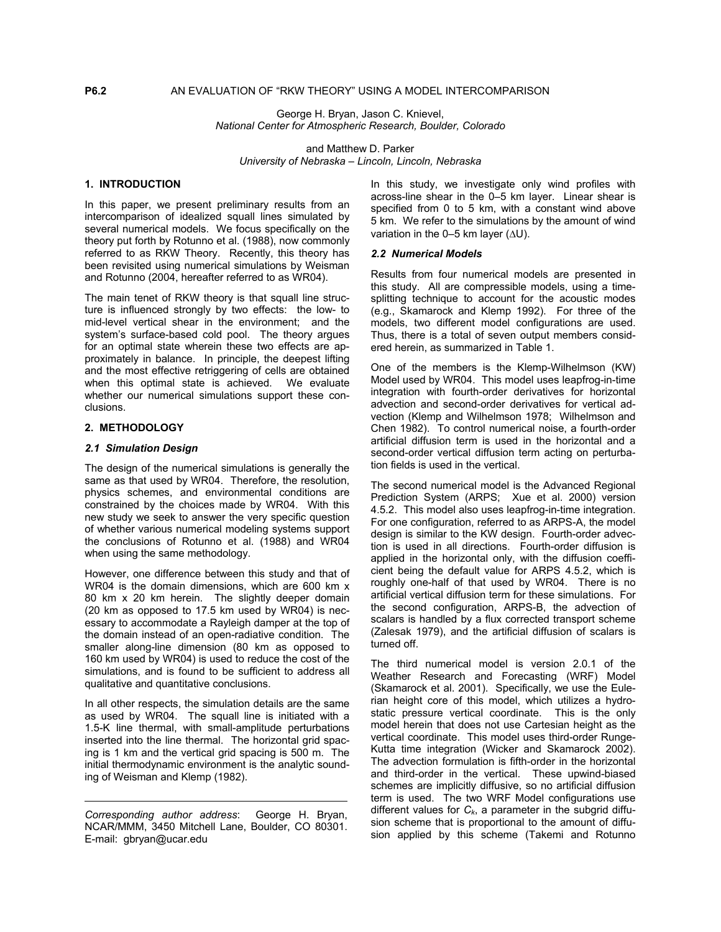George H. Bryan, Jason C. Knievel, *National Center for Atmospheric Research, Boulder, Colorado* 

and Matthew D. Parker *University of Nebraska – Lincoln, Lincoln, Nebraska* 

In this paper, we present preliminary results from an intercomparison of idealized squall lines simulated by several numerical models. We focus specifically on the theory put forth by Rotunno et al. (1988), now commonly referred to as RKW Theory. Recently, this theory has been revisited using numerical simulations by Weisman and Rotunno (2004, hereafter referred to as WR04).

The main tenet of RKW theory is that squall line structure is influenced strongly by two effects: the low- to mid-level vertical shear in the environment; and the system's surface-based cold pool. The theory argues for an optimal state wherein these two effects are approximately in balance. In principle, the deepest lifting and the most effective retriggering of cells are obtained when this optimal state is achieved. We evaluate whether our numerical simulations support these conclusions.

## **2. METHODOLOGY**

## *2.1 Simulation Design*

The design of the numerical simulations is generally the same as that used by WR04. Therefore, the resolution, physics schemes, and environmental conditions are constrained by the choices made by WR04. With this new study we seek to answer the very specific question of whether various numerical modeling systems support the conclusions of Rotunno et al. (1988) and WR04 when using the same methodology.

However, one difference between this study and that of WR04 is the domain dimensions, which are 600 km x 80 km x 20 km herein. The slightly deeper domain (20 km as opposed to 17.5 km used by WR04) is necessary to accommodate a Rayleigh damper at the top of the domain instead of an open-radiative condition. The smaller along-line dimension (80 km as opposed to 160 km used by WR04) is used to reduce the cost of the simulations, and is found to be sufficient to address all qualitative and quantitative conclusions.

In all other respects, the simulation details are the same as used by WR04. The squall line is initiated with a 1.5-K line thermal, with small-amplitude perturbations inserted into the line thermal. The horizontal grid spacing is 1 km and the vertical grid spacing is 500 m. The initial thermodynamic environment is the analytic sounding of Weisman and Klemp (1982).

**1. INTRODUCTION In this study, we investigate only wind profiles with** across-line shear in the 0–5 km layer. Linear shear is specified from 0 to 5 km, with a constant wind above 5 km. We refer to the simulations by the amount of wind variation in the 0–5 km layer (∆U).

#### *2.2 Numerical Models*

Results from four numerical models are presented in this study. All are compressible models, using a timesplitting technique to account for the acoustic modes (e.g., Skamarock and Klemp 1992). For three of the models, two different model configurations are used. Thus, there is a total of seven output members considered herein, as summarized in Table 1.

One of the members is the Klemp-Wilhelmson (KW) Model used by WR04. This model uses leapfrog-in-time integration with fourth-order derivatives for horizontal advection and second-order derivatives for vertical advection (Klemp and Wilhelmson 1978; Wilhelmson and Chen 1982). To control numerical noise, a fourth-order artificial diffusion term is used in the horizontal and a second-order vertical diffusion term acting on perturbation fields is used in the vertical.

The second numerical model is the Advanced Regional Prediction System (ARPS; Xue et al. 2000) version 4.5.2. This model also uses leapfrog-in-time integration. For one configuration, referred to as ARPS-A, the model design is similar to the KW design. Fourth-order advection is used in all directions. Fourth-order diffusion is applied in the horizontal only, with the diffusion coefficient being the default value for ARPS 4.5.2, which is roughly one-half of that used by WR04. There is no artificial vertical diffusion term for these simulations. For the second configuration, ARPS-B, the advection of scalars is handled by a flux corrected transport scheme (Zalesak 1979), and the artificial diffusion of scalars is turned off.

The third numerical model is version 2.0.1 of the Weather Research and Forecasting (WRF) Model (Skamarock et al. 2001). Specifically, we use the Eulerian height core of this model, which utilizes a hydrostatic pressure vertical coordinate. This is the only model herein that does not use Cartesian height as the vertical coordinate. This model uses third-order Runge-Kutta time integration (Wicker and Skamarock 2002). The advection formulation is fifth-order in the horizontal and third-order in the vertical. These upwind-biased schemes are implicitly diffusive, so no artificial diffusion term is used. The two WRF Model configurations use different values for  $C_k$ , a parameter in the subgrid diffusion scheme that is proportional to the amount of diffusion applied by this scheme (Takemi and Rotunno

*Corresponding author address*: George H. Bryan, NCAR/MMM, 3450 Mitchell Lane, Boulder, CO 80301. E-mail: gbryan@ucar.edu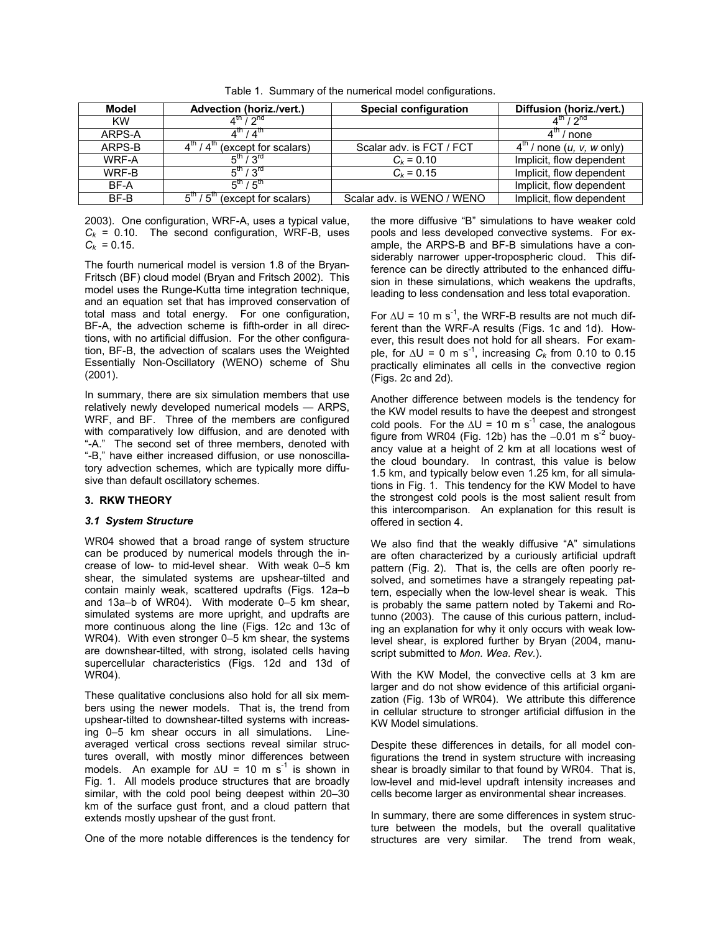| Model     | Advection (horiz./vert.)                             | <b>Special configuration</b> | Diffusion (horiz./vert.)                                      |
|-----------|------------------------------------------------------|------------------------------|---------------------------------------------------------------|
| <b>KW</b> | $4^{\text{th}}$ / $2^{\text{nd}}$                    |                              | $4^{\text{th}}$ / $2^{\text{nd}}$                             |
| ARPS-A    | $4^{\text{th}}$ / $4^{\text{th}}$                    |                              | $/$ none                                                      |
| ARPS-B    | $/4^{\text{m}}$<br>(except for scalars)              | Scalar adv. is FCT / FCT     | $4^{\text{th}}$ / none ( <i>u</i> , <i>v</i> , <i>w</i> only) |
| WRF-A     | $5^{th}$ / $3^{rd}$                                  | $C_k = 0.10$                 | Implicit, flow dependent                                      |
| WRF-B     | $5^{\text{th}}$ / $3^{\text{rd}}$                    | $C_k = 0.15$                 | Implicit, flow dependent                                      |
| BF-A      | $5^{\text{th}}$ / $5^{\text{th}}$                    |                              | Implicit, flow dependent                                      |
| BF-B      | $5^{\text{m}}$ / $5^{\text{m}}$ (except for scalars) | Scalar adv. is WENO / WENO   | Implicit, flow dependent                                      |

Table 1. Summary of the numerical model configurations.

2003). One configuration, WRF-A, uses a typical value,  $C_k$  = 0.10. The second configuration, WRF-B, uses  $C_k = 0.15$ .

The fourth numerical model is version 1.8 of the Bryan-Fritsch (BF) cloud model (Bryan and Fritsch 2002). This model uses the Runge-Kutta time integration technique, and an equation set that has improved conservation of total mass and total energy. For one configuration, BF-A, the advection scheme is fifth-order in all directions, with no artificial diffusion. For the other configuration, BF-B, the advection of scalars uses the Weighted Essentially Non-Oscillatory (WENO) scheme of Shu (2001).

In summary, there are six simulation members that use relatively newly developed numerical models — ARPS, WRF, and BF. Three of the members are configured with comparatively low diffusion, and are denoted with "-A." The second set of three members, denoted with "-B," have either increased diffusion, or use nonoscillatory advection schemes, which are typically more diffusive than default oscillatory schemes.

# **3. RKW THEORY**

# *3.1 System Structure*

WR04 showed that a broad range of system structure can be produced by numerical models through the increase of low- to mid-level shear. With weak 0–5 km shear, the simulated systems are upshear-tilted and contain mainly weak, scattered updrafts (Figs. 12a–b and 13a–b of WR04). With moderate 0–5 km shear, simulated systems are more upright, and updrafts are more continuous along the line (Figs. 12c and 13c of WR04). With even stronger 0–5 km shear, the systems are downshear-tilted, with strong, isolated cells having supercellular characteristics (Figs. 12d and 13d of WR04).

These qualitative conclusions also hold for all six members using the newer models. That is, the trend from upshear-tilted to downshear-tilted systems with increasing 0–5 km shear occurs in all simulations. Lineaveraged vertical cross sections reveal similar structures overall, with mostly minor differences between models. An example for  $\Delta U = 10$  m s<sup>-1</sup> is shown in Fig. 1. All models produce structures that are broadly similar, with the cold pool being deepest within 20–30 km of the surface gust front, and a cloud pattern that extends mostly upshear of the gust front.

One of the more notable differences is the tendency for

the more diffusive "B" simulations to have weaker cold pools and less developed convective systems. For example, the ARPS-B and BF-B simulations have a considerably narrower upper-tropospheric cloud. This difference can be directly attributed to the enhanced diffusion in these simulations, which weakens the updrafts, leading to less condensation and less total evaporation.

For  $\Delta U$  = 10 m s<sup>-1</sup>, the WRF-B results are not much different than the WRF-A results (Figs. 1c and 1d). However, this result does not hold for all shears. For example, for  $\Delta$ U = 0 m s<sup>-1</sup>, increasing  $C_k$  from 0.10 to 0.15 practically eliminates all cells in the convective region (Figs. 2c and 2d).

Another difference between models is the tendency for the KW model results to have the deepest and strongest cold pools. For the  $\Delta U = 10 \text{ m s}^{-1}$  case, the analogous figure from WR04 (Fig. 12b) has the  $-0.01$  m s<sup>-2</sup> buoyancy value at a height of 2 km at all locations west of the cloud boundary. In contrast, this value is below 1.5 km, and typically below even 1.25 km, for all simulations in Fig. 1. This tendency for the KW Model to have the strongest cold pools is the most salient result from this intercomparison. An explanation for this result is offered in section 4.

We also find that the weakly diffusive "A" simulations are often characterized by a curiously artificial updraft pattern (Fig. 2). That is, the cells are often poorly resolved, and sometimes have a strangely repeating pattern, especially when the low-level shear is weak. This is probably the same pattern noted by Takemi and Rotunno (2003). The cause of this curious pattern, including an explanation for why it only occurs with weak lowlevel shear, is explored further by Bryan (2004, manuscript submitted to *Mon. Wea. Rev.*).

With the KW Model, the convective cells at 3 km are larger and do not show evidence of this artificial organization (Fig. 13b of WR04). We attribute this difference in cellular structure to stronger artificial diffusion in the KW Model simulations.

Despite these differences in details, for all model configurations the trend in system structure with increasing shear is broadly similar to that found by WR04. That is, low-level and mid-level updraft intensity increases and cells become larger as environmental shear increases.

In summary, there are some differences in system structure between the models, but the overall qualitative structures are very similar. The trend from weak,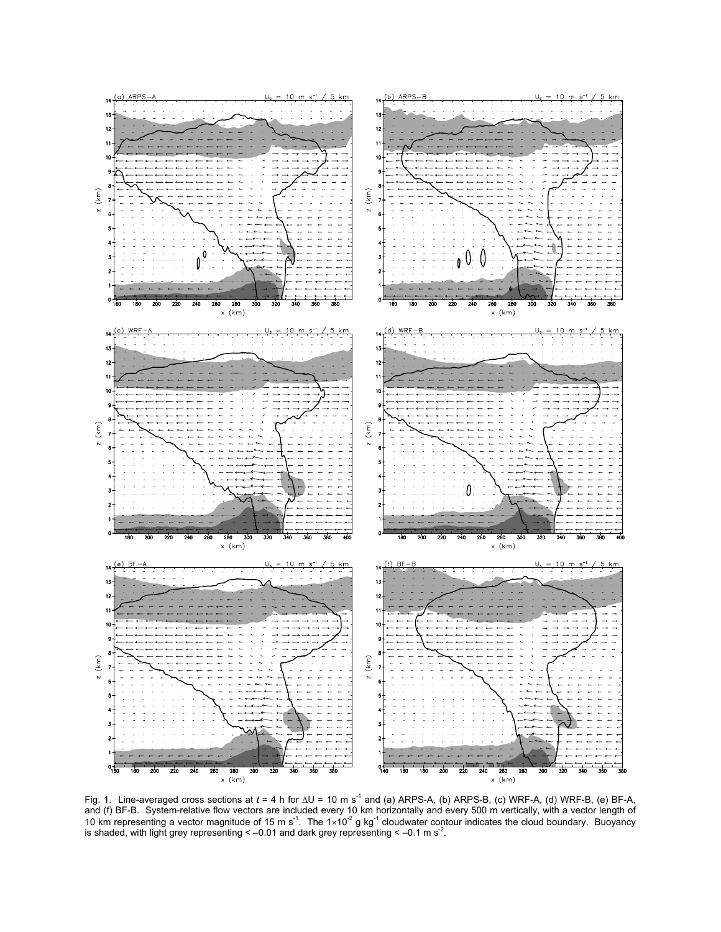

Fig. 1. Line-averaged cross sections at *t* = 4 h for ∆U = 10 m s-1 and (a) ARPS-A, (b) ARPS-B, (c) WRF-A, (d) WRF-B, (e) BF-A, and (f) BF-B. System-relative flow vectors are included every 10 km horizontally and every 500 m vertically, with a vector length of 10 km representing a vector magnitude of 15 m s<sup>-1</sup>. The  $1 \times 10^{-2}$  g kg<sup>-1</sup> cloudwater contour indicates the cloud boundary. Buoyancy is shaded, with light grey representing  $\leq -0.01$  and dark grey representing  $\leq -0.1$  m s<sup>-2</sup>.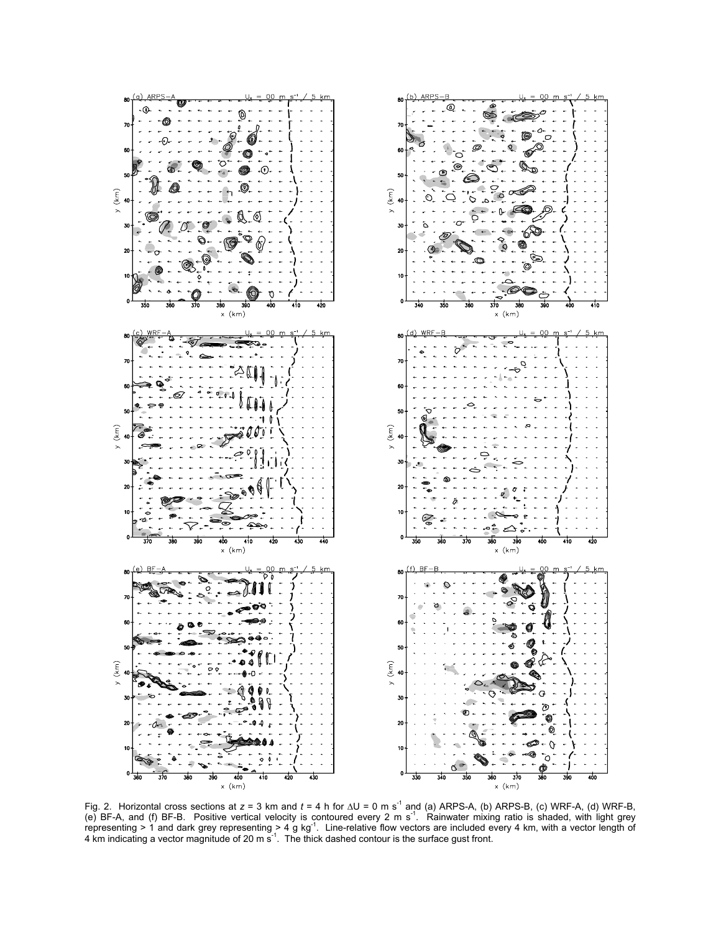

Fig. 2. Horizontal cross sections at *z* = 3 km and *t* = 4 h for ∆U = 0 m s -1 and (a) ARPS-A, (b) ARPS-B, (c) WRF-A, (d) WRF-B, (e) BF-A, and (f) BF-B. Positive vertical velocity is contoured every 2 m s<sup>-1</sup>. Rainwater mixing ratio is shaded, with light grey representing > 1 and dark grey representing > 4 g kg<sup>-1</sup>. Line-relative flow vectors are included every 4 km, with a vector length of 4 km indicating a vector magnitude of 20 m  $\sin^{-1}$ . The thick dashed contour is the surface gust front.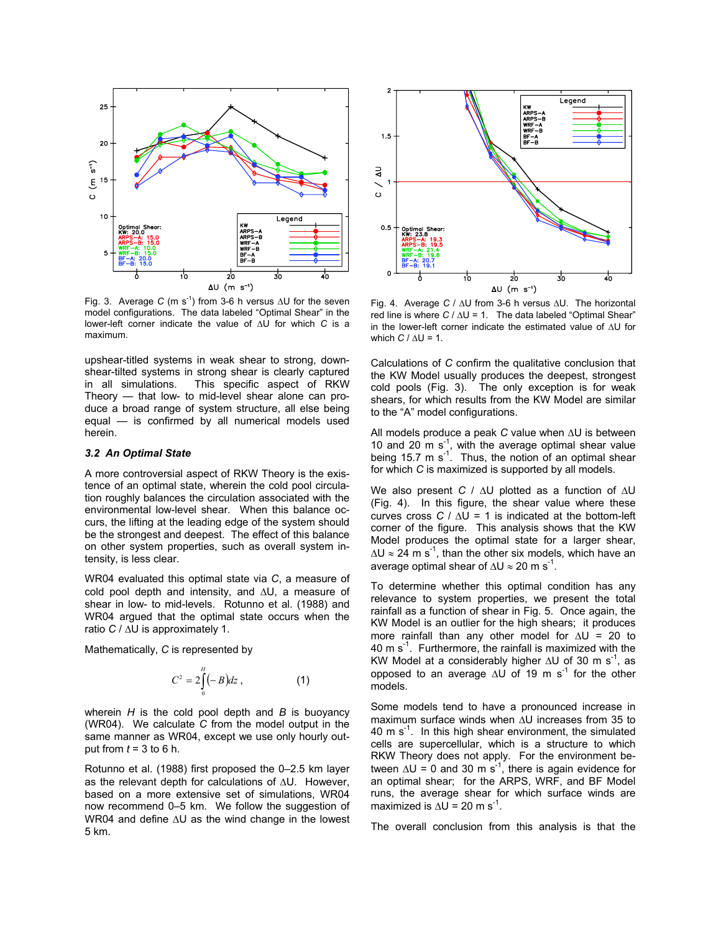

Fig. 3. Average *C* (m s<sup>-1</sup>) from 3-6 h versus  $\Delta U$  for the seven model configurations. The data labeled "Optimal Shear" in the lower-left corner indicate the value of ∆U for which *C* is a maximum.

upshear-titled systems in weak shear to strong, downshear-tilted systems in strong shear is clearly captured in all simulations. This specific aspect of RKW Theory — that low- to mid-level shear alone can produce a broad range of system structure, all else being equal — is confirmed by all numerical models used herein.

## *3.2 An Optimal State*

A more controversial aspect of RKW Theory is the existence of an optimal state, wherein the cold pool circulation roughly balances the circulation associated with the environmental low-level shear. When this balance occurs, the lifting at the leading edge of the system should be the strongest and deepest. The effect of this balance on other system properties, such as overall system intensity, is less clear.

WR04 evaluated this optimal state via *C*, a measure of cold pool depth and intensity, and ∆U, a measure of shear in low- to mid-levels. Rotunno et al. (1988) and WR04 argued that the optimal state occurs when the ratio *C* / ∆U is approximately 1.

Mathematically, *C* is represented by

$$
C^2 = 2\int_0^H (-B)dz , \qquad (1)
$$

wherein *H* is the cold pool depth and *B* is buoyancy (WR04). We calculate *C* from the model output in the same manner as WR04, except we use only hourly output from  $t = 3$  to 6 h.

Rotunno et al. (1988) first proposed the 0–2.5 km layer as the relevant depth for calculations of ∆U. However, based on a more extensive set of simulations, WR04 now recommend 0–5 km. We follow the suggestion of WR04 and define ∆U as the wind change in the lowest The overall conclusion from this analysis is that the 5 km



Fig. 4. Average *C* / ∆U from 3-6 h versus ∆U. The horizontal red line is where *C* / ∆U = 1. The data labeled "Optimal Shear" in the lower-left corner indicate the estimated value of ∆U for which *C* / ∆U = 1.

Calculations of *C* confirm the qualitative conclusion that the KW Model usually produces the deepest, strongest cold pools (Fig. 3). The only exception is for weak shears, for which results from the KW Model are similar to the "A" model configurations.

All models produce a peak *C* value when ∆U is between 10 and 20  $\mathrm{m\ s}^{-1}$ , with the average optimal shear value being 15.7 m s<sup>-1</sup>. Thus, the notion of an optimal shear for which *C* is maximized is supported by all models.

We also present *C* / ∆U plotted as a function of ∆U (Fig. 4). In this figure, the shear value where these curves cross *C* / ∆U = 1 is indicated at the bottom-left corner of the figure. This analysis shows that the KW Model produces the optimal state for a larger shear,  $\Delta U \approx 24$  m s<sup>-1</sup>, than the other six models, which have an average optimal shear of  $\Delta U \approx 20$  m s<sup>-1</sup>.

To determine whether this optimal condition has any relevance to system properties, we present the total rainfall as a function of shear in Fig. 5. Once again, the KW Model is an outlier for the high shears; it produces more rainfall than any other model for ∆U = 20 to 40 m  $s^{-1}$ . Furthermore, the rainfall is maximized with the KW Model at a considerably higher ∆U of 30 m s-1, as opposed to an average ∆U of 19 m s-1 for the other models.

Some models tend to have a pronounced increase in maximum surface winds when ∆U increases from 35 to 40 m  $s^{-1}$ . In this high shear environment, the simulated cells are supercellular, which is a structure to which RKW Theory does not apply. For the environment between  $\Delta U = 0$  and 30 m s<sup>-1</sup>, there is again evidence for an optimal shear; for the ARPS, WRF, and BF Model runs, the average shear for which surface winds are maximized is  $\Delta U = 20 \text{ m s}^{-1}$ .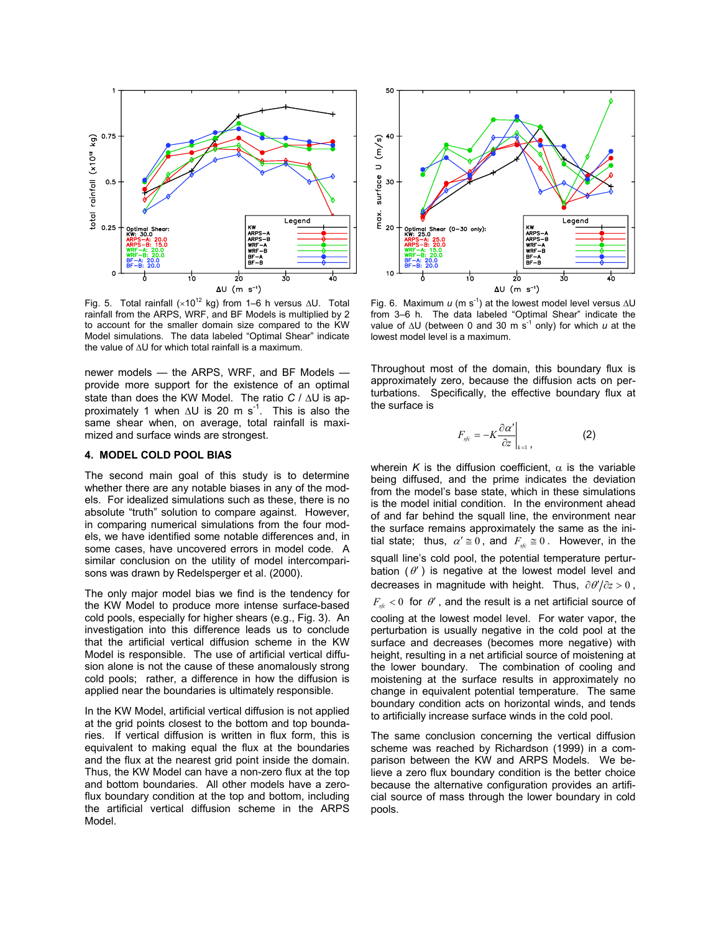

Fig. 5. Total rainfall (×10<sup>12</sup> kg) from 1–6 h versus ∆U. Total rainfall from the ARPS, WRF, and BF Models is multiplied by 2 to account for the smaller domain size compared to the KW Model simulations. The data labeled "Optimal Shear" indicate the value of ∆U for which total rainfall is a maximum.

newer models — the ARPS, WRF, and BF Models provide more support for the existence of an optimal state than does the KW Model. The ratio *C* / ∆U is approximately 1 when  $\Delta U$  is 20 m s<sup>-1</sup>. This is also the same shear when, on average, total rainfall is maximized and surface winds are strongest.

### **4. MODEL COLD POOL BIAS**

The second main goal of this study is to determine whether there are any notable biases in any of the models. For idealized simulations such as these, there is no absolute "truth" solution to compare against. However, in comparing numerical simulations from the four models, we have identified some notable differences and, in some cases, have uncovered errors in model code. A similar conclusion on the utility of model intercomparisons was drawn by Redelsperger et al. (2000).

The only major model bias we find is the tendency for the KW Model to produce more intense surface-based cold pools, especially for higher shears (e.g., Fig. 3). An investigation into this difference leads us to conclude that the artificial vertical diffusion scheme in the KW Model is responsible. The use of artificial vertical diffusion alone is not the cause of these anomalously strong cold pools; rather, a difference in how the diffusion is applied near the boundaries is ultimately responsible.

In the KW Model, artificial vertical diffusion is not applied at the grid points closest to the bottom and top boundaries. If vertical diffusion is written in flux form, this is equivalent to making equal the flux at the boundaries and the flux at the nearest grid point inside the domain. Thus, the KW Model can have a non-zero flux at the top and bottom boundaries. All other models have a zeroflux boundary condition at the top and bottom, including the artificial vertical diffusion scheme in the ARPS Model.



Fig. 6. Maximum *u* (m s<sup>-1</sup>) at the lowest model level versus ∆U from 3–6 h. The data labeled "Optimal Shear" indicate the value of ∆U (between 0 and 30 m s<sup>-1</sup> only) for which *u* at the lowest model level is a maximum.

Throughout most of the domain, this boundary flux is approximately zero, because the diffusion acts on perturbations. Specifically, the effective boundary flux at the surface is

$$
F_{\text{sf}} = -K \frac{\partial \alpha'}{\partial z}\bigg|_{k=1} \,, \tag{2}
$$

wherein *K* is the diffusion coefficient,  $\alpha$  is the variable being diffused, and the prime indicates the deviation from the model's base state, which in these simulations is the model initial condition. In the environment ahead of and far behind the squall line, the environment near the surface remains approximately the same as the initial state; thus,  $\alpha' \equiv 0$ , and  $F_{\text{sf}} \equiv 0$ . However, in the squall line's cold pool, the potential temperature perturbation  $(\theta')$  is negative at the lowest model level and decreases in magnitude with height. Thus,  $\partial \theta'/\partial z > 0$ ,  $F_{\text{sf}}$  < 0 for  $\theta'$ , and the result is a net artificial source of cooling at the lowest model level. For water vapor, the perturbation is usually negative in the cold pool at the surface and decreases (becomes more negative) with height, resulting in a net artificial source of moistening at the lower boundary. The combination of cooling and moistening at the surface results in approximately no change in equivalent potential temperature. The same boundary condition acts on horizontal winds, and tends to artificially increase surface winds in the cold pool.

The same conclusion concerning the vertical diffusion scheme was reached by Richardson (1999) in a comparison between the KW and ARPS Models. We believe a zero flux boundary condition is the better choice because the alternative configuration provides an artificial source of mass through the lower boundary in cold pools.